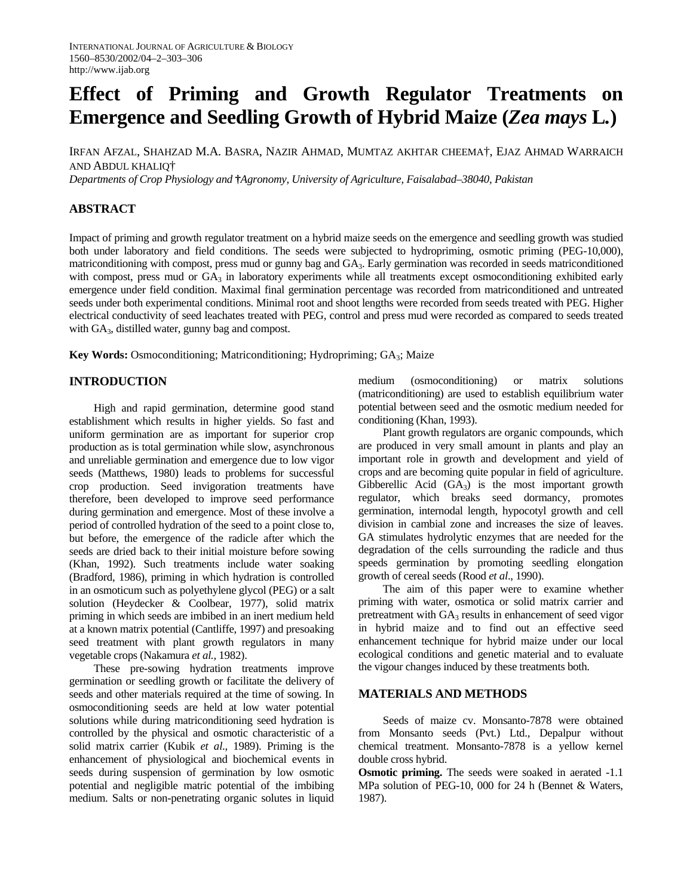# **Effect of Priming and Growth Regulator Treatments on Emergence and Seedling Growth of Hybrid Maize (***Zea mays* **L***.***)**

IRFAN AFZAL, SHAHZAD M.A. BASRA, NAZIR AHMAD, MUMTAZ AKHTAR CHEEMA†, EJAZ AHMAD WARRAICH AND ABDUL KHALIQ†

*Departments of Crop Physiology and* **†***Agronomy, University of Agriculture, Faisalabad–38040, Pakistan* 

## **ABSTRACT**

Impact of priming and growth regulator treatment on a hybrid maize seeds on the emergence and seedling growth was studied both under laboratory and field conditions. The seeds were subjected to hydropriming, osmotic priming (PEG-10,000), matriconditioning with compost, press mud or gunny bag and GA<sub>3</sub>. Early germination was recorded in seeds matriconditioned with compost, press mud or  $GA_3$  in laboratory experiments while all treatments except osmoconditioning exhibited early emergence under field condition. Maximal final germination percentage was recorded from matriconditioned and untreated seeds under both experimental conditions. Minimal root and shoot lengths were recorded from seeds treated with PEG. Higher electrical conductivity of seed leachates treated with PEG, control and press mud were recorded as compared to seeds treated with GA<sub>3</sub>, distilled water, gunny bag and compost.

**Key Words:** Osmoconditioning; Matriconditioning; Hydropriming; GA<sub>3</sub>; Maize

### **INTRODUCTION**

High and rapid germination, determine good stand establishment which results in higher yields. So fast and uniform germination are as important for superior crop production as is total germination while slow, asynchronous and unreliable germination and emergence due to low vigor seeds (Matthews, 1980) leads to problems for successful crop production. Seed invigoration treatments have therefore, been developed to improve seed performance during germination and emergence. Most of these involve a period of controlled hydration of the seed to a point close to, but before, the emergence of the radicle after which the seeds are dried back to their initial moisture before sowing (Khan, 1992). Such treatments include water soaking (Bradford, 1986), priming in which hydration is controlled in an osmoticum such as polyethylene glycol (PEG) or a salt solution (Heydecker & Coolbear, 1977), solid matrix priming in which seeds are imbibed in an inert medium held at a known matrix potential (Cantliffe, 1997) and presoaking seed treatment with plant growth regulators in many vegetable crops (Nakamura *et al.,* 1982).

These pre-sowing hydration treatments improve germination or seedling growth or facilitate the delivery of seeds and other materials required at the time of sowing. In osmoconditioning seeds are held at low water potential solutions while during matriconditioning seed hydration is controlled by the physical and osmotic characteristic of a solid matrix carrier (Kubik *et al*., 1989). Priming is the enhancement of physiological and biochemical events in seeds during suspension of germination by low osmotic potential and negligible matric potential of the imbibing medium. Salts or non-penetrating organic solutes in liquid medium (osmoconditioning) or matrix solutions (matriconditioning) are used to establish equilibrium water potential between seed and the osmotic medium needed for conditioning (Khan, 1993).

Plant growth regulators are organic compounds, which are produced in very small amount in plants and play an important role in growth and development and yield of crops and are becoming quite popular in field of agriculture. Gibberellic Acid  $(GA_3)$  is the most important growth regulator, which breaks seed dormancy, promotes germination, internodal length, hypocotyl growth and cell division in cambial zone and increases the size of leaves. GA stimulates hydrolytic enzymes that are needed for the degradation of the cells surrounding the radicle and thus speeds germination by promoting seedling elongation growth of cereal seeds (Rood *et al*., 1990).

The aim of this paper were to examine whether priming with water, osmotica or solid matrix carrier and pretreatment with GA<sub>3</sub> results in enhancement of seed vigor in hybrid maize and to find out an effective seed enhancement technique for hybrid maize under our local ecological conditions and genetic material and to evaluate the vigour changes induced by these treatments both.

#### **MATERIALS AND METHODS**

Seeds of maize cv. Monsanto-7878 were obtained from Monsanto seeds (Pvt.) Ltd., Depalpur without chemical treatment. Monsanto-7878 is a yellow kernel double cross hybrid.

**Osmotic priming.** The seeds were soaked in aerated -1.1 MPa solution of PEG-10, 000 for 24 h (Bennet & Waters, 1987).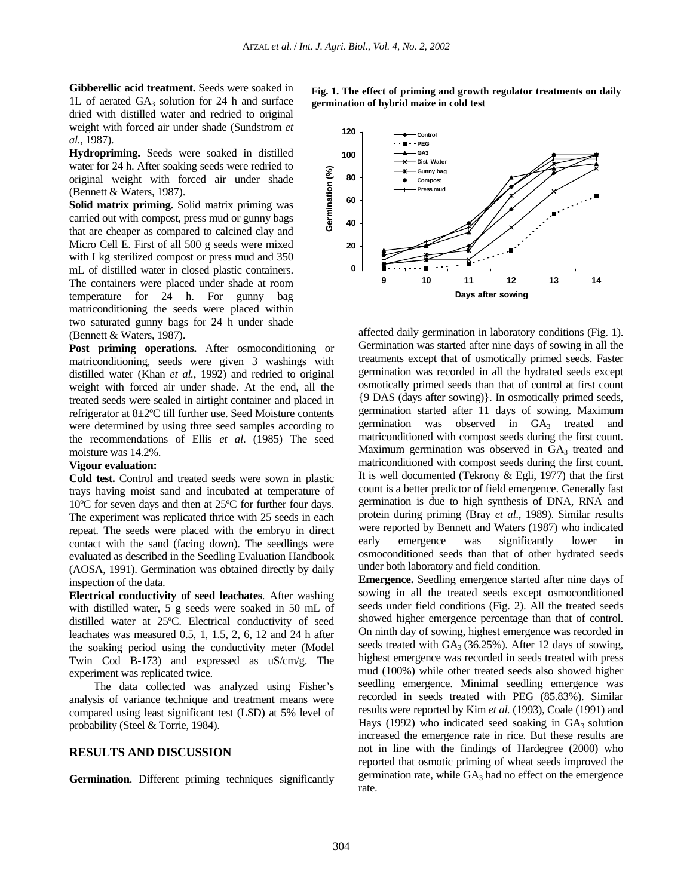**Gibberellic acid treatment.** Seeds were soaked in 1L of aerated  $GA_3$  solution for 24 h and surface dried with distilled water and redried to original weight with forced air under shade (Sundstrom *et al.,* 1987).

**Hydropriming.** Seeds were soaked in distilled water for 24 h. After soaking seeds were redried to original weight with forced air under shade (Bennett & Waters, 1987).

**Solid matrix priming.** Solid matrix priming was carried out with compost, press mud or gunny bags that are cheaper as compared to calcined clay and Micro Cell E. First of all 500 g seeds were mixed with I kg sterilized compost or press mud and 350 mL of distilled water in closed plastic containers. The containers were placed under shade at room temperature for 24 h. For gunny bag matriconditioning the seeds were placed within two saturated gunny bags for 24 h under shade (Bennett & Waters, 1987).

Post priming operations. After osmoconditioning or matriconditioning, seeds were given 3 washings with distilled water (Khan *et al.,* 1992) and redried to original weight with forced air under shade. At the end, all the treated seeds were sealed in airtight container and placed in refrigerator at 8±2ºC till further use. Seed Moisture contents were determined by using three seed samples according to the recommendations of Ellis *et al*. (1985) The seed moisture was 14.2%.

#### **Vigour evaluation:**

**Cold test.** Control and treated seeds were sown in plastic trays having moist sand and incubated at temperature of 10ºC for seven days and then at 25ºC for further four days. The experiment was replicated thrice with 25 seeds in each repeat. The seeds were placed with the embryo in direct contact with the sand (facing down). The seedlings were evaluated as described in the Seedling Evaluation Handbook (AOSA, 1991). Germination was obtained directly by daily inspection of the data.

**Electrical conductivity of seed leachates**. After washing with distilled water, 5 g seeds were soaked in 50 mL of distilled water at 25ºC. Electrical conductivity of seed leachates was measured 0.5, 1, 1.5, 2, 6, 12 and 24 h after the soaking period using the conductivity meter (Model Twin Cod B-173) and expressed as uS/cm/g. The experiment was replicated twice.

The data collected was analyzed using Fisher's analysis of variance technique and treatment means were compared using least significant test (LSD) at 5% level of probability (Steel & Torrie, 1984).

#### **RESULTS AND DISCUSSION**

**Germination**. Different priming techniques significantly

**Fig. 1. The effect of priming and growth regulator treatments on daily germination of hybrid maize in cold test** 



affected daily germination in laboratory conditions (Fig. 1). Germination was started after nine days of sowing in all the treatments except that of osmotically primed seeds. Faster germination was recorded in all the hydrated seeds except osmotically primed seeds than that of control at first count {9 DAS (days after sowing)}. In osmotically primed seeds, germination started after 11 days of sowing. Maximum germination was observed in  $GA<sub>3</sub>$  treated and matriconditioned with compost seeds during the first count. Maximum germination was observed in  $GA<sub>3</sub>$  treated and matriconditioned with compost seeds during the first count. It is well documented (Tekrony & Egli, 1977) that the first count is a better predictor of field emergence. Generally fast germination is due to high synthesis of DNA, RNA and protein during priming (Bray *et al*., 1989). Similar results were reported by Bennett and Waters (1987) who indicated early emergence was significantly lower in osmoconditioned seeds than that of other hydrated seeds under both laboratory and field condition.

**Emergence.** Seedling emergence started after nine days of sowing in all the treated seeds except osmoconditioned seeds under field conditions (Fig. 2). All the treated seeds showed higher emergence percentage than that of control. On ninth day of sowing, highest emergence was recorded in seeds treated with  $GA_3$  (36.25%). After 12 days of sowing, highest emergence was recorded in seeds treated with press mud (100%) while other treated seeds also showed higher seedling emergence. Minimal seedling emergence was recorded in seeds treated with PEG (85.83%). Similar results were reported by Kim *et al.* (1993), Coale (1991) and Hays (1992) who indicated seed soaking in  $GA_3$  solution increased the emergence rate in rice. But these results are not in line with the findings of Hardegree (2000) who reported that osmotic priming of wheat seeds improved the germination rate, while  $GA<sub>3</sub>$  had no effect on the emergence rate.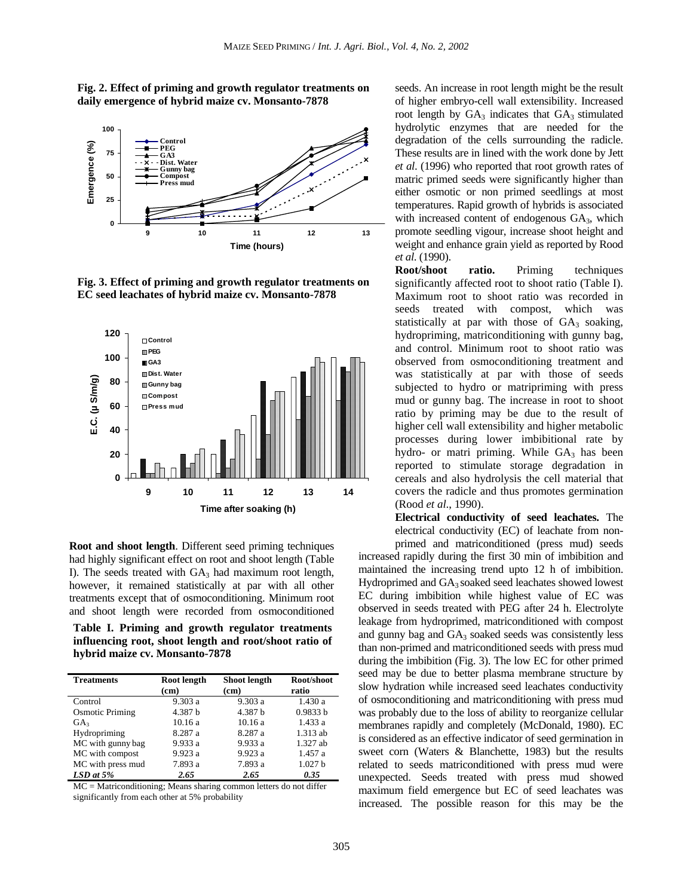



**Fig. 3. Effect of priming and growth regulator treatments on EC seed leachates of hybrid maize cv. Monsanto-7878** 



**Root and shoot length**. Different seed priming techniques had highly significant effect on root and shoot length (Table I). The seeds treated with  $GA_3$  had maximum root length, however, it remained statistically at par with all other treatments except that of osmoconditioning. Minimum root and shoot length were recorded from osmoconditioned

**Table I. Priming and growth regulator treatments influencing root, shoot length and root/shoot ratio of hybrid maize cv. Monsanto-7878** 

| <b>Treatments</b>      | Root length<br>(c <b>m</b> ) | <b>Shoot length</b><br>(c <b>m</b> ) | Root/shoot<br>ratio |
|------------------------|------------------------------|--------------------------------------|---------------------|
| Control                | 9.303a                       | 9.303a                               | 1.430a              |
| <b>Osmotic Priming</b> | 4.387 b                      | 4.387 h                              | 0.9833 b            |
| GA <sub>3</sub>        | 10.16a                       | 10.16a                               | 1.433a              |
| Hydropriming           | 8.287 a                      | 8.287 a                              | 1.313 ab            |
| MC with gunny bag      | 9.933 a                      | 9.933a                               | 1.327 ab            |
| MC with compost        | 9.923 a                      | 9.923 a                              | 1.457 a             |
| MC with press mud      | 7.893 a                      | 7.893 a                              | 1.027h              |
| $LSD$ at $5%$          | 2.65                         | 2.65                                 | 0.35                |

MC = Matriconditioning; Means sharing common letters do not differ significantly from each other at 5% probability

seeds. An increase in root length might be the result of higher embryo-cell wall extensibility. Increased root length by  $GA_3$  indicates that  $GA_3$  stimulated hydrolytic enzymes that are needed for the degradation of the cells surrounding the radicle. These results are in lined with the work done by Jett *et al*. (1996) who reported that root growth rates of matric primed seeds were significantly higher than either osmotic or non primed seedlings at most temperatures. Rapid growth of hybrids is associated with increased content of endogenous GA<sub>3</sub>, which promote seedling vigour, increase shoot height and weight and enhance grain yield as reported by Rood *et al*. (1990).

**Root/shoot ratio.** Priming techniques significantly affected root to shoot ratio (Table I). Maximum root to shoot ratio was recorded in seeds treated with compost, which was statistically at par with those of  $GA_3$  soaking, hydropriming, matriconditioning with gunny bag, and control. Minimum root to shoot ratio was observed from osmoconditioning treatment and was statistically at par with those of seeds subjected to hydro or matripriming with press mud or gunny bag. The increase in root to shoot ratio by priming may be due to the result of higher cell wall extensibility and higher metabolic processes during lower imbibitional rate by hydro- or matri priming. While GA3 has been reported to stimulate storage degradation in cereals and also hydrolysis the cell material that covers the radicle and thus promotes germination (Rood *et al*., 1990).

**Electrical conductivity of seed leachates.** The electrical conductivity (EC) of leachate from nonprimed and matriconditioned (press mud) seeds

increased rapidly during the first 30 min of imbibition and maintained the increasing trend upto 12 h of imbibition. Hydroprimed and GA3 soaked seed leachates showed lowest EC during imbibition while highest value of EC was observed in seeds treated with PEG after 24 h. Electrolyte leakage from hydroprimed, matriconditioned with compost and gunny bag and GA<sub>3</sub> soaked seeds was consistently less than non-primed and matriconditioned seeds with press mud during the imbibition (Fig. 3). The low EC for other primed seed may be due to better plasma membrane structure by slow hydration while increased seed leachates conductivity of osmoconditioning and matriconditioning with press mud was probably due to the loss of ability to reorganize cellular membranes rapidly and completely (McDonald, 1980). EC is considered as an effective indicator of seed germination in sweet corn (Waters & Blanchette, 1983) but the results related to seeds matriconditioned with press mud were unexpected. Seeds treated with press mud showed maximum field emergence but EC of seed leachates was increased. The possible reason for this may be the